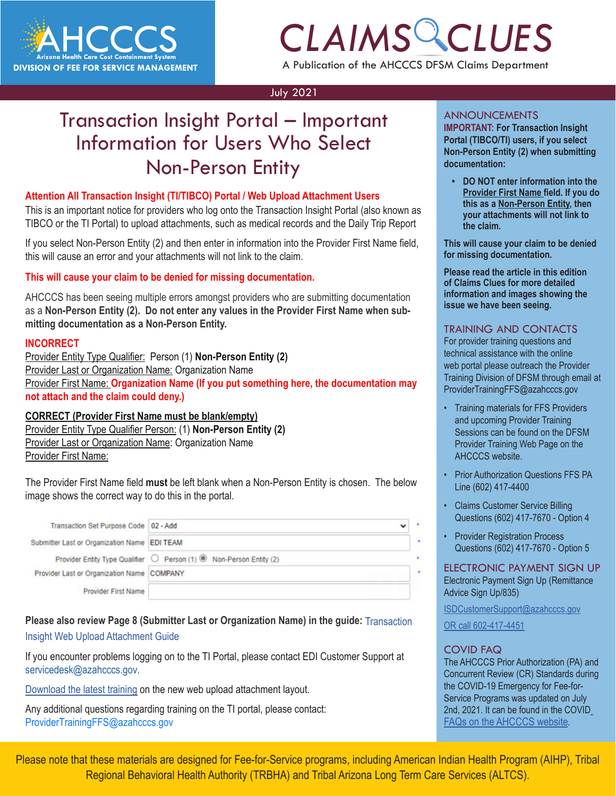

## *CLAIMS CLUES* A Publication of the AHCCCS DFSM Claims Department

#### July 2021

### Transaction Insight Portal – Important Information for Users Who Select Non-Person Entity

#### **Attention All Transaction Insight (TI/TIBCO) Portal / Web Upload Attachment Users**

This is an important notice for providers who log onto the Transaction Insight Portal (also known as TIBCO or the TI Portal) to upload attachments, such as medical records and the Daily Trip Report

If you select Non-Person Entity (2) and then enter in information into the Provider First Name field, this will cause an error and your attachments will not link to the claim.

#### **This will cause your claim to be denied for missing documentation.**

AHCCCS has been seeing multiple errors amongst providers who are submitting documentation as a **Non-Person Entity (2). Do not enter any values in the Provider First Name when submitting documentation as a Non-Person Entity.** 

#### **INCORRECT**

Provider Entity Type Qualifier: Person (1) **Non-Person Entity (2)** Provider Last or Organization Name: Organization Name Provider First Name: **Organization Name (If you put something here, the documentation may not attach and the claim could deny.)**

#### **CORRECT (Provider First Name must be blank/empty)**

Provider Entity Type Qualifier Person: (1) **Non-Person Entity (2)** Provider Last or Organization Name: Organization Name Provider First Name:

The Provider First Name field **must** be left blank when a Non-Person Entity is chosen. The below image shows the correct way to do this in the portal.

| Transaction Set Purpose Code   02 - Add      |                                                                     | $\check{ }$ |
|----------------------------------------------|---------------------------------------------------------------------|-------------|
| Submitter Last or Organization Name EDI TEAM |                                                                     |             |
|                                              | Provider Entity Type Qualifier ◯ Person (1) ® Non-Person Entity (2) |             |
| Provider Last or Organization Name COMPANY   |                                                                     |             |
| <b>Provider First Name</b>                   |                                                                     |             |

### **Please also review Page 8 (Submitter Last or Organization Name) in the guide:** [Transaction](https://www.azahcccs.gov/Resources/Downloads/DFMSTraining/2018/TransactionInsight_TI_PortalWebUploadAttachmentGuide.pdf)

#### [Insight Web Upload Attachment Guide](https://www.azahcccs.gov/Resources/Downloads/DFMSTraining/2018/TransactionInsight_TI_PortalWebUploadAttachmentGuide.pdf)

If you encounter problems logging on to the TI Portal, please contact EDI Customer Support at [servicedesk@azahcccs.gov.](servicedesk@azahcccs.gov)

[Download the latest training](http://files.constantcontact.com/6b827043601/e18b3a77-26ca-4030-93a7-6815b9731fb6.pdf) on the new web upload attachment layout.

Any additional questions regarding training on the TI portal, please contact: [ProviderTrainingFFS@azahcccs.gov](mailto:ProviderTrainingFFS@azahcccs.gov.)

#### ANNOUNCEMENTS

**CLAIMS CONTRETAINT:** For Transaction Insight<br> **CLAIMS COLUPTE COUPER COLUPTER COLUPTER COLUPTER COLUPTER COLUMNATION:**<br> **CLAIMS COLUMNATION: IMPORTANT: For Transaction Insight Portal (TIBCO/TI) users, if you select Non-Person Entity (2) when submitting documentation:**

> **• DO NOT enter information into the Provider First Name field. If you do this as a Non-Person Entity, then your attachments will not link to the claim.**

**This will cause your claim to be denied for missing documentation.** 

**Please read the article in this edition of Claims Clues for more detailed information and images showing the issue we have been seeing.** 

#### TRAINING AND CONTACTS

For provider training questions and technical assistance with the online web portal please outreach the Provider Training Division of DFSM through email at [ProviderTrainingFFS@azahcccs.gov](mailto:ProviderTrainingFFS@azahcccs.gov)

- Training materials for FFS Providers and upcoming Provider Training Sessions can be found on the DFSM Provider Training Web Page on the AHCCCS website.
- Prior Authorization Questions FFS PA Line (602) 417-4400
- Claims Customer Service Billing Questions (602) 417-7670 - Option 4
- Provider Registration Process Questions (602) 417-7670 - Option 5

ELECTRONIC PAYMENT SIGN UP Electronic Payment [Si](https://azahcccs.gov/AHCCCS/AboutUs/covid19FAQ.html)gn Up (Remittance Advice Sign Up/835)

[ISDCustomerSupport@azahcccs.gov](https://azahcccs.gov/AHCCCS/AboutUs/covid19FAQ.html)

[OR call 602-417-4451](https://azahcccs.gov/AHCCCS/AboutUs/covid19FAQ.html)

#### [COVID FAQ](https://azahcccs.gov/AHCCCS/AboutUs/covid19FAQ.html)

k

[The AHCCCS Prior Authorization \(PA\) and](https://azahcccs.gov/AHCCCS/AboutUs/covid19FAQ.html)  [Concurrent Review \(CR\) Standards during](https://azahcccs.gov/AHCCCS/AboutUs/covid19FAQ.html)  [the COVID-19 Emergency for Fee-for-](https://azahcccs.gov/AHCCCS/AboutUs/covid19FAQ.html)[Service Programs was updated on July](https://azahcccs.gov/AHCCCS/AboutUs/covid19FAQ.html)  [2nd, 2021. It can be found in the COVID](https://azahcccs.gov/AHCCCS/AboutUs/covid19FAQ.html) [FAQs on the AHCCCS website.](https://azahcccs.gov/AHCCCS/AboutUs/covid19FAQ.html)

Please note that these materials are designed for Fee-for-Service programs, including American Indian Health Program (AIHP), Tribal Regional Behavioral Health Authority (TRBHA) and Tribal Arizona Long Term Care Services (ALTCS).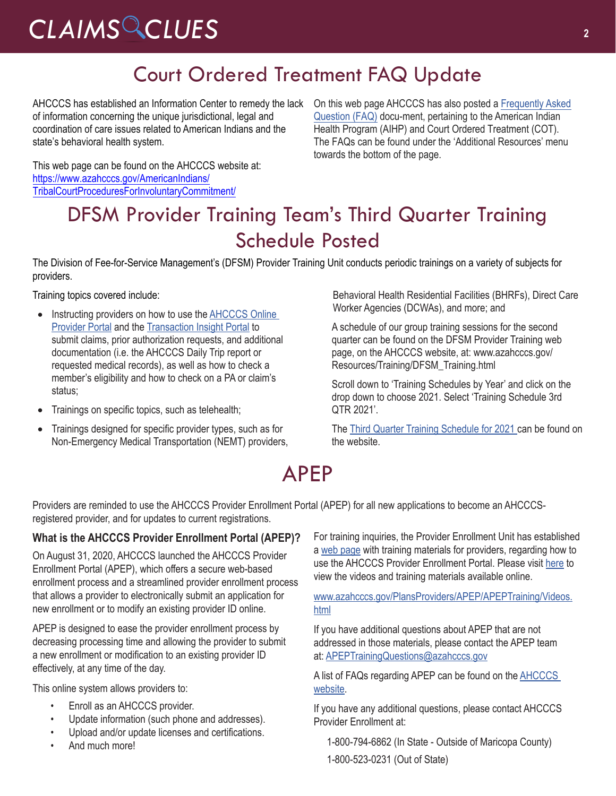### Court Ordered Treatment FAQ Update

AHCCCS has established an Information Center to remedy the lack of information concerning the unique jurisdictional, legal and coordination of care issues related to American Indians and the state's behavioral health system.

On this web page AHCCCS has also posted a Frequently Asked Question (FAQ) [docu-ment, pertaining to the American Indian](https://www.azahcccs.gov/AmericanIndians/TribalCourtProceduresForInvoluntaryCommitment/)  Health Program (AIHP) and Court Ordered Treatment (COT). The FAQs can be found under the 'Additional Resources' menu towards the bottom of the page.

This web page can be found on the AHCCCS website at: https://www.azahcccs.gov/AmericanIndians/ [TribalCourtProceduresForInvoluntaryCommitment/](https://www.azahcccs.gov/AmericanIndians/TribalCourtProceduresForInvoluntaryCommitment/)

### DFSM Provider Training Team's Third Quarter Training Schedule Posted

The Division of Fee-for-Service Management's (DFSM) Provider Training Unit conducts periodic trainings on a variety of subjects for providers.

Training topics covered include:

- Instructing providers on how to use the [AHCCCS Online](https://azweb.statemedicaid.us/Account/Login.aspx?ReturnUrl=%2f) [Provider Portal](https://azweb.statemedicaid.us/Account/Login.aspx?ReturnUrl=%2f) and the [Transaction Insight Portal](https://tiwebprd.statemedicaid.us/AHCCCS/default.aspx?ReturnUrl=%2fAHCCCS%2f) to submit claims, prior authorization requests, and additional documentation (i.e. the AHCCCS Daily Trip report or requested medical records), as well as how to check a member's eligibility and how to check on a PA or claim's status;
- Trainings on specific topics, such as telehealth;
- Trainings designed for specific provider types, such as for Non-Emergency Medical Transportation (NEMT) providers,

Behavioral Health Residential Facilities (BHRFs), Direct Care Worker Agencies (DCWAs), and more; and

A schedule of our group training sessions for the second quarter can be found on the DFSM Provider Training web page, on the AHCCCS website, at: www.azahcccs.gov/ Resources/Training/DFSM\_Training.html

Scroll down to 'Training Schedules by Year' and click on the drop down to choose 2021. Select 'Training Schedule 3rd QTR 2021'.

The [Third Quarter Training Schedule for 2021](https://www.azahcccs.gov/Resources/Downloads/DFMSTraining/2021/ProviderTrainingScheduleThirdQuarter2021.pdf) can be found on the website.

## APEP

Providers are reminded to use the AHCCCS Provider Enrollment Portal (APEP) for all new applications to become an AHCCCSregistered provider, and for updates to current registrations.

#### **What is the AHCCCS Provider Enrollment Portal (APEP)?**

On August 31, 2020, AHCCCS launched the AHCCCS Provider Enrollment Portal (APEP), which offers a secure web-based enrollment process and a streamlined provider enrollment process that allows a provider to electronically submit an application for new enrollment or to modify an existing provider ID online.

APEP is designed to ease the provider enrollment process by decreasing processing time and allowing the provider to submit a new enrollment or modification to an existing provider ID effectively, at any time of the day.

This online system allows providers to:

- Enroll as an AHCCCS provider.
- Update information (such phone and addresses).
- Upload and/or update licenses and certifications.
- And much more!

For training inquiries, the Provider Enrollment Unit has established a [web page](https://www.azahcccs.gov/PlansProviders/APEP/APEPTraining/Videos.html) with training materials for providers, regarding how to use the AHCCCS Provider Enrollment Portal. Please visit [here](https://www.azahcccs.gov/PlansProviders/APEP/APEPTraining/Videos.html) to view the videos and training materials available online.

[www.azahcccs.gov/PlansProviders/APEP/APEPTraining/Videos.](https://www.azahcccs.gov/PlansProviders/APEP/APEPTraining/Videos.html) [html](https://www.azahcccs.gov/PlansProviders/APEP/APEPTraining/Videos.html)

If you have additional questions about APEP that are not addressed in those materials, please contact the APEP team at: [APEPTrainingQuestions@azahcccs.gov](mailto:APEPTrainingQuestions@azahcccs.gov)

A list of FAQs regarding APEP can be found on the **AHCCCS** [website.](https://www.azahcccs.gov/PlansProviders/NewProviders/registration/APEP/faq.html)

If you have any additional questions, please contact AHCCCS Provider Enrollment at:

- 1-800-794-6862 (In State Outside of Maricopa County)
- 1-800-523-0231 (Out of State)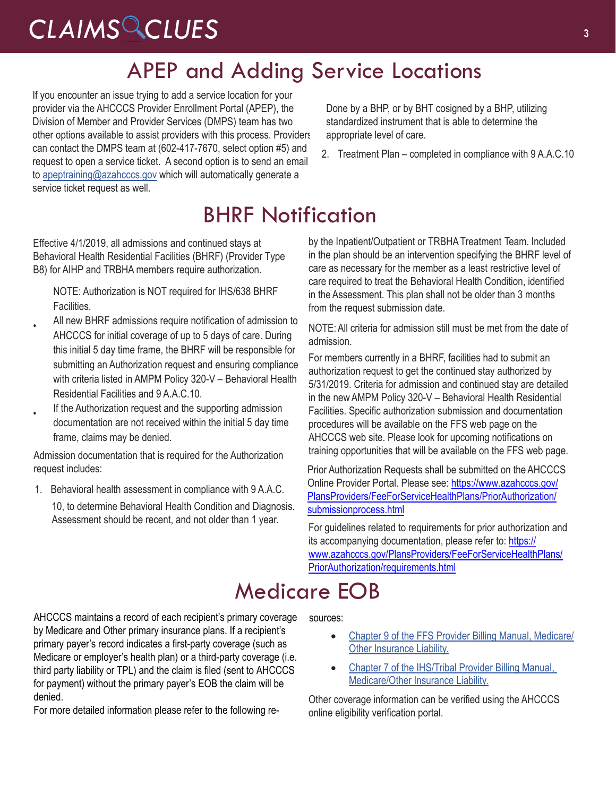### APEP and Adding Service Locations

If you encounter an issue trying to add a service location for your provider via the AHCCCS Provider Enrollment Portal (APEP), the Division of Member and Provider Services (DMPS) team has two other options available to assist providers with this process. Providers can contact the DMPS team at (602-417-7670, select option #5) and request to open a service ticket. A second option is to send an email to [apeptraining@azahcccs.gov](mailto:apeptraining@azahcccs.gov) which will automatically generate a service ticket request as well.

Done by a BHP, or by BHT cosigned by a BHP, utilizing standardized instrument that is able to determine the appropriate level of care.

2. Treatment Plan – completed in compliance with 9 A.A.C.10

## BHRF Notification

Effective 4/1/2019, all admissions and continued stays at Behavioral Health Residential Facilities (BHRF) (Provider Type B8) for AIHP and TRBHA members require authorization.

NOTE: Authorization is NOT required for IHS/638 BHRF **Facilities** 

- All new BHRF admissions require notification of admission to AHCCCS for initial coverage of up to 5 days of care. During this initial 5 day time frame, the BHRF will be responsible for submitting an Authorization request and ensuring compliance with criteria listed in AMPM Policy 320-V – Behavioral Health Residential Facilities and 9 A.A.C.10.
- If the Authorization request and the supporting admission documentation are not received within the initial 5 day time frame, claims may be denied.

Admission documentation that is required for the Authorization request includes:

1. Behavioral health assessment in compliance with 9 A.A.C.

10, to determine Behavioral Health Condition and Diagnosis. Assessment should be recent, and not older than 1 year.

by the Inpatient/Outpatient or TRBHA Treatment Team. Included in the plan should be an intervention specifying the BHRF level of care as necessary for the member as a least restrictive level of care required to treat the Behavioral Health Condition, identified in the Assessment. This plan shall not be older than 3 months from the request submission date.

NOTE: All criteria for admission still must be met from the date of admission.

For members currently in a BHRF, facilities had to submit an authorization request to get the continued stay authorized by 5/31/2019. Criteria for admission and continued stay are detailed in the new AMPM Policy 320-V – Behavioral Health Residential Facilities. Specific authorization submission and documentation procedures will be available on the FFS web page on the AHCCCS web site. Please look for upcoming notifications on training opportunities that will be available on the FFS web page.

Prior Authorization Requests shall be submitted on the AHCCCS Online Provider Portal. Please se[e: https://www.azahcccs.gov/](https://www.azahcccs.gov/PlansProviders/FeeForServiceHealthPlans/PriorAuthorization/submissionprocess.html) [PlansProviders/FeeForServiceHealthPlans/PriorAuthorization/](https://www.azahcccs.gov/PlansProviders/FeeForServiceHealthPlans/PriorAuthorization/submissionprocess.html) submissionprocess.html

For guidelines related to requirements for prior authorization and its accompanying documentation, please refer to: https:// [www.azahcccs.gov/PlansProviders/FeeForServiceHealthPlans/](: https://www.azahcccs.gov/PlansProviders/FeeForServiceHealthPlans/PriorAuthorization/requirements.html) PriorAuthorization/requirements.html

## Medicare [EOB](https://www.azahcccs.gov/PlansProviders/Downloads/FFSProviderManual/FFS_Chap09Medicare.pdf)

AHCCCS maintains a record of each recipient's primary coverage by Medicare and Other primary insurance plans. If a recipient's primary payer's record indicates a first-party coverage (such as Medicare or employer's health plan) or a third-party coverage (i.e. third party liability or TPL) and the claim is filed (sent to AHCCCS for payment) without the primary payer's EOB the claim will be denied.

For more detailed information please refer to the following re-

sources:

- Chapter 9 of the FFS Provider Billing Manual, Medicare/ [Other Insurance Liability.](https://www.azahcccs.gov/PlansProviders/Downloads/FFSProviderManual/FFS_Chap09Medicare.pdf)
- Chapter 7 of the IHS/Tribal Provider Billing Manual, [Medicare/Other Insurance Liability.](https://www.azahcccs.gov/PlansProviders/Downloads/IHS-TribalManual/IHS-Chap07Medicare.pdf)

Other coverage information can be verified using the AHCCCS online eligibility verification portal.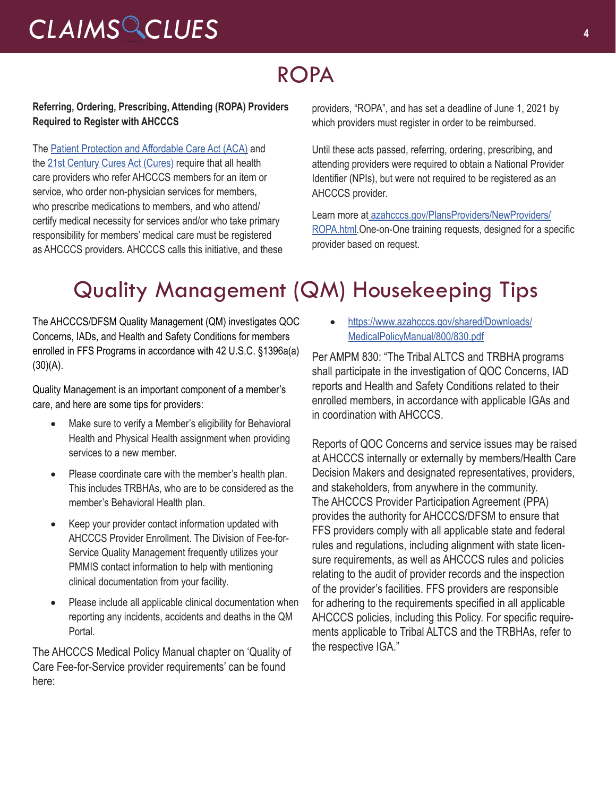## ROPA

#### **Referring, Ordering, Prescribing, Attending (ROPA) Providers Required to Register with AHCCCS**

The [Patient Protection and Affordable Care Act \(ACA\)](https://www.govinfo.gov/content/pkg/PLAW-111publ148/pdf/PLAW-111publ148.pdf) and the [21st Century Cures Act \(Cures\)](https://www.govinfo.gov/content/pkg/PLAW-114publ255/pdf/PLAW-114publ255.pdf) require that all health care providers who refer AHCCCS members for an item or service, who order non-physician services for members, who prescribe medications to members, and who attend/ certify medical necessity for services and/or who take primary responsibility for members' medical care must be registered as AHCCCS providers. AHCCCS calls this initiative, and these providers, "ROPA", and has set a deadline of June 1, 2021 by which providers must register in order to be reimbursed.

Until these acts passed, referring, ordering, prescribing, and attending providers were required to obtain a National Provider Identifier (NPIs), but were not required to be registered as an AHCCCS provider.

Learn more a[t](http://goog_1378479736/) [azahcccs.gov/PlansProviders/NewProviders/](https://www.azahcccs.gov/PlansProviders/NewProviders/ROPA.html) [ROPA.html](https://www.azahcccs.gov/PlansProviders/NewProviders/ROPA.html).One-on-One training requests, designed for a specific provider based on request.

## Quality Management (QM) Housekeeping Tips

The AHCCCS/DFSM Quality Management (QM) investigates QOC Concerns, IADs, and Health and Safety Conditions for members enrolled in FFS Programs in accordance with 42 U.S.C. §1396a(a)  $(30)(A)$ .

Quality Management is an important component of a member's care, and here are some tips for providers:

- Make sure to verify a Member's eligibility for Behavioral Health and Physical Health assignment when providing services to a new member.
- Please coordinate care with the member's health plan. This includes TRBHAs, who are to be considered as the member's Behavioral Health plan.
- Keep your provider contact information updated with AHCCCS Provider Enrollment. The Division of Fee-for-Service Quality Management frequently utilizes your PMMIS contact information to help with mentioning clinical documentation from your facility.
- Please include all applicable clinical documentation when reporting any incidents, accidents and deaths in the QM Portal.

The AHCCCS Medical Policy Manual chapter on 'Quality of Care Fee-for-Service provider requirements' can be found here:

• [https://www.azahcccs.gov/shared/Downloads/](https://www.azahcccs.gov/shared/Downloads/MedicalPolicyManual/800/830.pdf) [MedicalPolicyManual/800/830.pdf](https://www.azahcccs.gov/shared/Downloads/MedicalPolicyManual/800/830.pdf)

Per AMPM 830: "The Tribal ALTCS and TRBHA programs shall participate in the investigation of QOC Concerns, IAD reports and Health and Safety Conditions related to their enrolled members, in accordance with applicable IGAs and in coordination with AHCCCS.

Reports of QOC Concerns and service issues may be raised at AHCCCS internally or externally by members/Health Care Decision Makers and designated representatives, providers, and stakeholders, from anywhere in the community. The AHCCCS Provider Participation Agreement (PPA) provides the authority for AHCCCS/DFSM to ensure that FFS providers comply with all applicable state and federal rules and regulations, including alignment with state licensure requirements, as well as AHCCCS rules and policies relating to the audit of provider records and the inspection of the provider's facilities. FFS providers are responsible for adhering to the requirements specified in all applicable AHCCCS policies, including this Policy. For specific requirements applicable to Tribal ALTCS and the TRBHAs, refer to the respective IGA."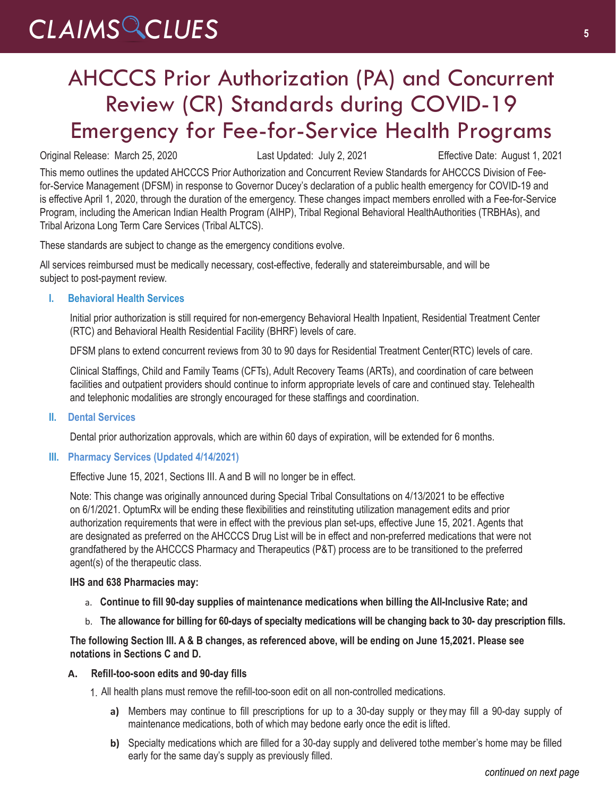### AHCCCS Prior Authorization (PA) and Concurrent Review (CR) Standards during COVID-19 Emergency for Fee-for-Service Health Programs

Original Release: March 25, 2020 Last Updated: July 2, 2021 Effective Date: August 1, 2021

This memo outlines the updated AHCCCS Prior Authorization and Concurrent Review Standards for AHCCCS Division of Feefor-Service Management (DFSM) in response to Governor Ducey's declaration of a public health emergency for COVID-19 and is effective April 1, 2020, through the duration of the emergency. These changes impact members enrolled with a Fee-for-Service Program, including the American Indian Health Program (AIHP), Tribal Regional Behavioral HealthAuthorities (TRBHAs), and Tribal Arizona Long Term Care Services (Tribal ALTCS).

These standards are subject to change as the emergency conditions evolve.

All services reimbursed must be medically necessary, cost-effective, federally and statereimbursable, and will be subject to post-payment review.

#### **I. Behavioral Health Services**

Initial prior authorization is still required for non-emergency Behavioral Health Inpatient, Residential Treatment Center (RTC) and Behavioral Health Residential Facility (BHRF) levels of care.

DFSM plans to extend concurrent reviews from 30 to 90 days for Residential Treatment Center(RTC) levels of care.

Clinical Staffings, Child and Family Teams (CFTs), Adult Recovery Teams (ARTs), and coordination of care between facilities and outpatient providers should continue to inform appropriate levels of care and continued stay. Telehealth and telephonic modalities are strongly encouraged for these staffings and coordination.

**II. Dental Services**

Dental prior authorization approvals, which are within 60 days of expiration, will be extended for 6 months.

#### **III. Pharmacy Services (Updated 4/14/2021)**

Effective June 15, 2021, Sections III. A and B will no longer be in effect.

Note: This change was originally announced during Special Tribal Consultations on 4/13/2021 to be effective on 6/1/2021. OptumRx will be ending these flexibilities and reinstituting utilization management edits and prior authorization requirements that were in effect with the previous plan set-ups, effective June 15, 2021. Agents that are designated as preferred on the AHCCCS Drug List will be in effect and non-preferred medications that were not grandfathered by the AHCCCS Pharmacy and Therapeutics (P&T) process are to be transitioned to the preferred agent(s) of the therapeutic class.

#### **IHS and 638 Pharmacies may:**

- a. **Continue to fill 90-day supplies of maintenance medications when billing the All-Inclusive Rate; and**
- b. **The allowance for billing for 60-days of specialty medications will be changing back to 30- day prescription fills.**

**The following Section III. A & B changes, as referenced above, will be ending on June 15,2021. Please see notations in Sections C and D.**

#### **A. Refill-too-soon edits and 90-day fills**

1. All health plans must remove the refill-too-soon edit on all non-controlled medications.

- **a)** Members may continue to fill prescriptions for up to a 30-day supply or they may fill a 90-day supply of maintenance medications, both of which may bedone early once the edit is lifted.
- **b)** Specialty medications which are filled for a 30-day supply and delivered tothe member's home may be filled early for the same day's supply as previously filled.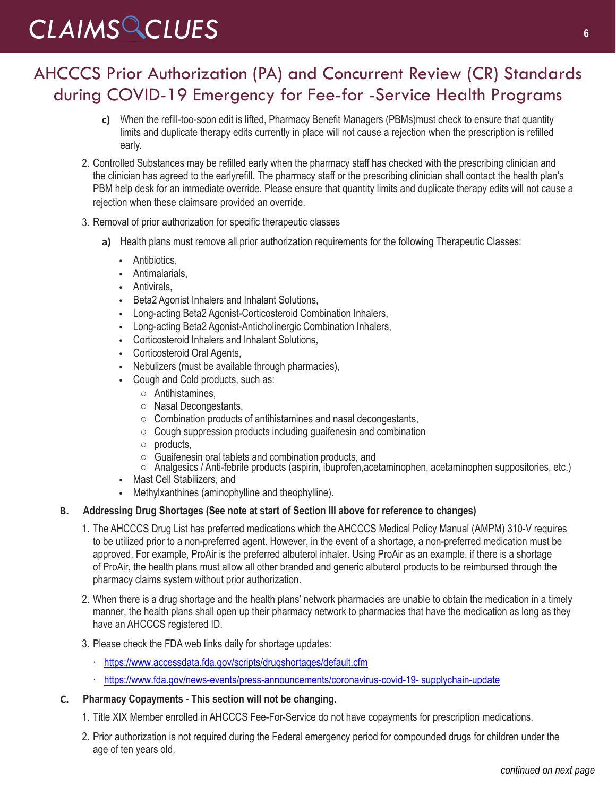### AHCCCS Prior Authorization (PA) and Concurrent Review (CR) Standards during COVID-19 Emergency for Fee-for -Service Health Programs

- **c)** When the refill-too-soon edit is lifted, Pharmacy Benefit Managers (PBMs)must check to ensure that quantity limits and duplicate therapy edits currently in place will not cause a rejection when the prescription is refilled early.
- 2. Controlled Substances may be refilled early when the pharmacy staff has checked with the prescribing clinician and the clinician has agreed to the earlyrefill. The pharmacy staff or the prescribing clinician shall contact the health plan's PBM help desk for an immediate override. Please ensure that quantity limits and duplicate therapy edits will not cause a rejection when these claimsare provided an override.
- 3. Removal of prior authorization for specific therapeutic classes
	- **a)** Health plans must remove all prior authorization requirements for the following Therapeutic Classes:
		- Antibiotics,
		- Antimalarials,
		- Antivirals,
		- Beta2 Agonist Inhalers and Inhalant Solutions,
		- Long-acting Beta2 Agonist-Corticosteroid Combination Inhalers,
		- Long-acting Beta2 Agonist-Anticholinergic Combination Inhalers,
		- Corticosteroid Inhalers and Inhalant Solutions,
		- Corticosteroid Oral Agents,
		- Nebulizers (must be available through pharmacies),
		- Cough and Cold products, such as:
			- Antihistamines,
			- Nasal Decongestants,
			- Combination products of antihistamines and nasal decongestants,
			- Cough suppression products including guaifenesin and combination
			- products,
			- Guaifenesin oral tablets and combination products, and
			- Analgesics / Anti-febrile products (aspirin, ibuprofen,acetaminophen, acetaminophen suppositories, etc.)
		- Mast Cell Stabilizers, and
		- Methylxanthines (aminophylline and theophylline).

#### **B. Addressing Drug Shortages (See note at start of Section III above for reference to changes)**

- 1. The AHCCCS Drug List has preferred medications which the AHCCCS Medical Policy Manual (AMPM) 310-V requires to be utilized prior to a non-preferred agent. However, in the event of a shortage, a non-preferred medication must be approved. For example, ProAir is the preferred albuterol inhaler. Using ProAir as an example, if there is a shortage of ProAir, the health plans must allow all other branded and generic albuterol products to be reimbursed through the pharmacy claims system without prior authorization.
- 2. When there is a drug shortage and the health plans' network pharmacies are unable to obtain the medication in a timely manner, the health plans shall open up their pharmacy network to pharmacies that have the medication as long as they have an AHCCCS registered ID.
- 3. Please check the FDA web links daily for shortage updates:
	- ∙ <https://www.accessdata.fda.gov/scripts/drugshortages/default.cfm>
	- ∙ [https://www.fda.gov/news-events/press-announcements/coronavirus-](https://www.fda.gov/news-events/press-announcements/coronavirus-covid-19-supply-chain-update)[covid-19- supplychain-update](https://www.fda.gov/news-events/press-announcements/coronavirus-covid-19-supplychain-update)

#### **C. Pharmacy Copayments - This section will not be changing.**

- 1. Title XIX Member enrolled in AHCCCS Fee-For-Service do not have copayments for prescription medications.
- 2. Prior authorization is not required during the Federal emergency period for compounded drugs for children under the age of ten years old.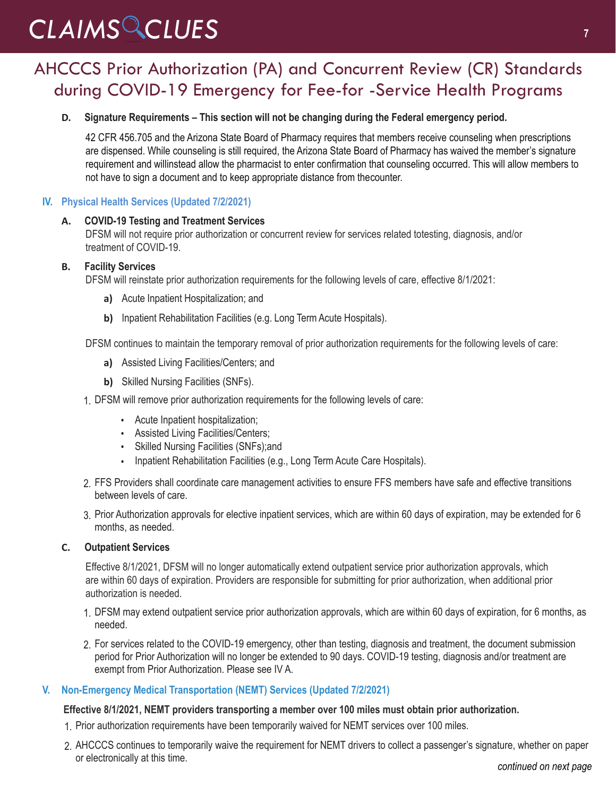### AHCCCS Prior Authorization (PA) and Concurrent Review (CR) Standards during COVID-19 Emergency for Fee-for -Service Health Programs

#### **D. Signature Requirements – This section will not be changing during the Federal emergency period.**

42 CFR 456.705 and the Arizona State Board of Pharmacy requires that members receive counseling when prescriptions are dispensed. While counseling is still required, the Arizona State Board of Pharmacy has waived the member's signature requirement and willinstead allow the pharmacist to enter confirmation that counseling occurred. This will allow members to not have to sign a document and to keep appropriate distance from thecounter.

#### **IV. Physical Health Services (Updated 7/2/2021)**

#### **A. COVID-19 Testing and Treatment Services**

DFSM will not require prior authorization or concurrent review for services related totesting, diagnosis, and/or treatment of COVID-19.

#### **B. Facility Services**

DFSM will reinstate prior authorization requirements for the following levels of care, effective 8/1/2021:

- **a)** Acute Inpatient Hospitalization; and
- **b)** Inpatient Rehabilitation Facilities (e.g. Long Term Acute Hospitals).

DFSM continues to maintain the temporary removal of prior authorization requirements for the following levels of care:

- **a)** Assisted Living Facilities/Centers; and
- **b)** Skilled Nursing Facilities (SNFs).
- 1. DFSM will remove prior authorization requirements for the following levels of care:
	- Acute Inpatient hospitalization;
	- Assisted Living Facilities/Centers;
	- Skilled Nursing Facilities (SNFs);and
	- Inpatient Rehabilitation Facilities (e.g., Long Term Acute Care Hospitals).
- 2. FFS Providers shall coordinate care management activities to ensure FFS members have safe and effective transitions between levels of care.
- 3. Prior Authorization approvals for elective inpatient services, which are within 60 days of expiration, may be extended for 6 months, as needed.

#### **C. Outpatient Services**

Effective 8/1/2021, DFSM will no longer automatically extend outpatient service prior authorization approvals, which are within 60 days of expiration. Providers are responsible for submitting for prior authorization, when additional prior authorization is needed.

- 1. DFSM may extend outpatient service prior authorization approvals, which are within 60 days of expiration, for 6 months, as needed.
- 2. For services related to the COVID-19 emergency, other than testing, diagnosis and treatment, the document submission period for Prior Authorization will no longer be extended to 90 days. COVID-19 testing, diagnosis and/or treatment are exempt from Prior Authorization. Please see IV A.

#### **V. Non-Emergency Medical Transportation (NEMT) Services (Updated 7/2/2021)**

#### **Effective 8/1/2021, NEMT providers transporting a member over 100 miles must obtain prior authorization.**

- 1. Prior authorization requirements have been temporarily waived for NEMT services over 100 miles.
- 2. AHCCCS continues to temporarily waive the requirement for NEMT drivers to collect a passenger's signature, whether on paper or electronically at this time.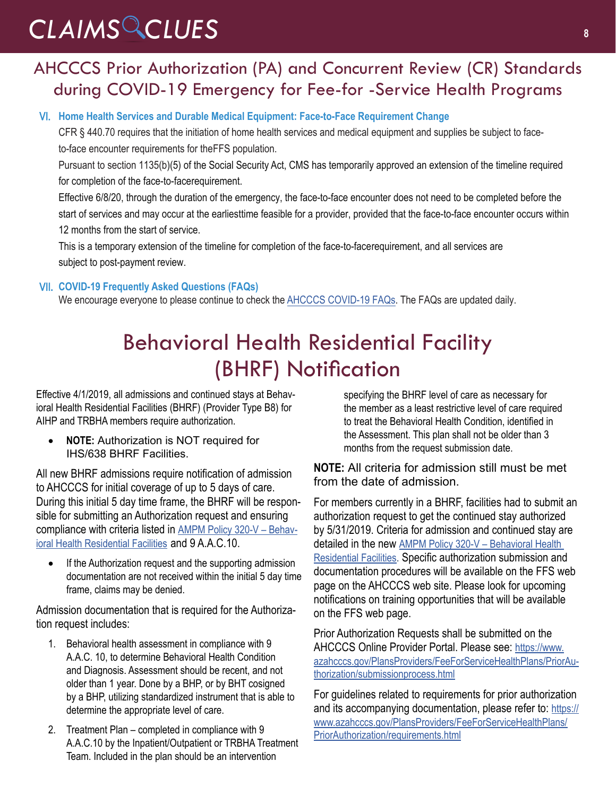### AHCCCS Prior Authorization (PA) and Concurrent Review (CR) Standards during COVID-19 Emergency for Fee-for -Service Health Programs

#### VI. **Home Health Services and Durable Medical Equipment: Face-to-Face Requirement Change**

CFR § 440.70 requires that the initiation of home health services and medical equipment and supplies be subject to faceto-face encounter requirements for the FFS population.

Pursuant to section 1135(b)(5) of the Social Security Act, CMS has temporarily approved an extension of the timeline required for completion of the face-to-face requirement.

Effective 6/8/20, through the duration of the emergency, the face-to-face encounter does not need to be completed before the start of services and may occur at the earliest time feasible for a provider, provided that the face-to-face encounter occurs within 12 months from the start of service.

This is a temporary extension of the timeline for completion of the face-to-face requirement, and all services are subject to post-payment review.

#### VII. **COVID-19 Frequently Asked Questions (FAQs)**

We encourage everyone to please continue to check th[e AHCCCS COVID-19 FAQs. T](https://azahcccs.gov/AHCCCS/AboutUs/covid19FAQ.html)he FAQs are updated daily.

### Behavioral Health Residential Facility (BHRF) Notification

Effective 4/1/2019, all admissions and continued stays at Behavioral Health Residential Facilities (BHRF) (Provider Type B8) for AIHP and TRBHA members require authorization.

• **NOTE:** Authorization is NOT required for IHS/638 BHRF Facilities.

All new BHRF admissions require notification of admission to AHCCCS for initial coverage of up to 5 days of care. During this initial 5 day time frame, the BHRF will be responsible for submitting an Authorization request and ensuring compliance with criteria listed in [AMPM Policy 320-V – Behav](https://www.azahcccs.gov/shared/Downloads/MedicalPolicyManual/300/320-V.pdf)[ioral Health Residential Facilities](https://www.azahcccs.gov/shared/Downloads/MedicalPolicyManual/300/320-V.pdf) and 9 A.A.C.10.

If the Authorization request and the supporting admission documentation are not received within the initial 5 day time frame, claims may be denied.

Admission documentation that is required for the Authorization request includes:

- 1. Behavioral health assessment in compliance with 9 A.A.C. 10, to determine Behavioral Health Condition and Diagnosis. Assessment should be recent, and not older than 1 year. Done by a BHP, or by BHT cosigned by a BHP, utilizing standardized instrument that is able to determine the appropriate level of care.
- 2. Treatment Plan completed in compliance with 9 A.A.C.10 by the Inpatient/Outpatient or TRBHA Treatment Team. Included in the plan should be an intervention

specifying the BHRF level of care as necessary for the member as a least restrictive level of care required to treat the Behavioral Health Condition, identified in the Assessment. This plan shall not be older than 3 months from the request submission date.

#### **NOTE:** All criteria for admission still must be met from the date of admission.

For members currently in a BHRF, facilities had to submit an authorization request to get the continued stay authorized by 5/31/2019. Criteria for admission and continued stay are detailed in the new [AMPM Policy 320-V – Behavioral Health](https://www.azahcccs.gov/shared/Downloads/MedicalPolicyManual/300/320-V.pdf)  [Residential Facilities](https://www.azahcccs.gov/shared/Downloads/MedicalPolicyManual/300/320-V.pdf). Specific authorization submission and documentation procedures will be available on the FFS web page on the AHCCCS web site. Please look for upcoming notifications on training opportunities that will be available on the FFS web page.

Prior Authorization Requests shall be submitted on the AHCCCS Online Provider Portal. Please see: [https://www.](https://www.azahcccs.gov/PlansProviders/FeeForServiceHealthPlans/PriorAuthorization/submissionprocess.html) [azahcccs.gov/PlansProviders/FeeForServiceHealthPlans/PriorAu](https://www.azahcccs.gov/PlansProviders/FeeForServiceHealthPlans/PriorAuthorization/submissionprocess.html)[thorization/submissionprocess.html](https://www.azahcccs.gov/PlansProviders/FeeForServiceHealthPlans/PriorAuthorization/submissionprocess.html)

For guidelines related to requirements for prior authorization and its accompanying documentation, please refer to: [https://](https://www.azahcccs.gov/PlansProviders/FeeForServiceHealthPlans/PriorAuthorization/requirements.html) [www.azahcccs.gov/PlansProviders/FeeForServiceHealthPlans/](https://www.azahcccs.gov/PlansProviders/FeeForServiceHealthPlans/PriorAuthorization/requirements.html) [PriorAuthorization/requirements.html](https://www.azahcccs.gov/PlansProviders/FeeForServiceHealthPlans/PriorAuthorization/requirements.html)